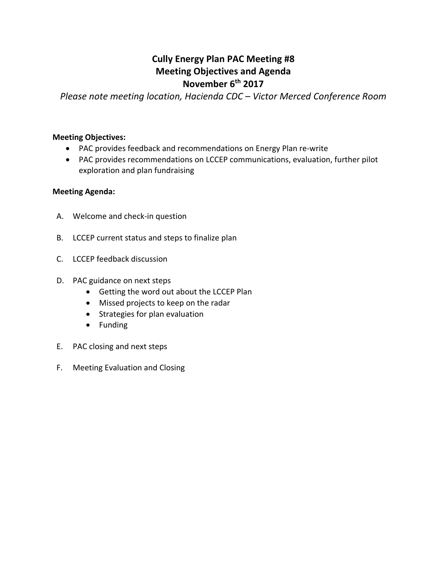## **Cully Energy Plan PAC Meeting #8 Meeting Objectives and Agenda November 6th 2017**

*Please note meeting location, Hacienda CDC – Victor Merced Conference Room*

#### **Meeting Objectives:**

- PAC provides feedback and recommendations on Energy Plan re-write
- PAC provides recommendations on LCCEP communications, evaluation, further pilot exploration and plan fundraising

#### **Meeting Agenda:**

- A. Welcome and check-in question
- B. LCCEP current status and steps to finalize plan
- C. LCCEP feedback discussion
- D. PAC guidance on next steps
	- Getting the word out about the LCCEP Plan
	- Missed projects to keep on the radar
	- Strategies for plan evaluation
	- Funding
- E. PAC closing and next steps
- F. Meeting Evaluation and Closing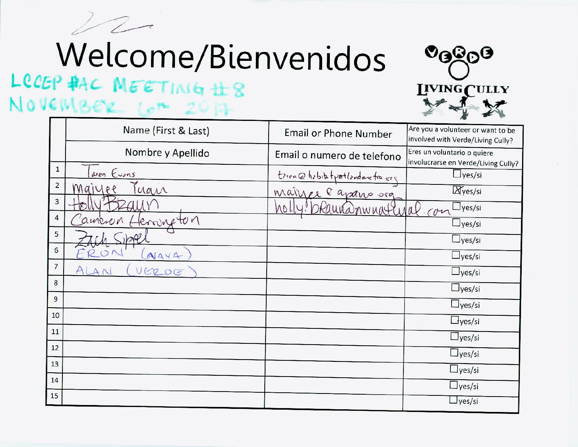$\mathcal{P}$ 

# Welcome/Bienvenidos

# LCCEP PAC MEETING #8 NOVEMBER Lot 2017



|                | Name (First & Last)   | <b>Email or Phone Number</b>     | Are you a volunteer or want to be<br>involved with Verde/Living Cully? |
|----------------|-----------------------|----------------------------------|------------------------------------------------------------------------|
|                | Nombre y Apellido     | Email o numero de telefono       | Eres un voluntario o quiere<br>involucrarse en Verde/Living Cully?     |
| $\mathbf{1}$   | aren Eurns            | terence hebitat portlandnictions | $\Box$ yes/si                                                          |
| $\overline{2}$ | Tuan<br>Maiyee        | mainer l'aparo org               | <b>Ayes/si</b>                                                         |
| $\mathbf{3}$   |                       | No U<br>armnattural              | $\vert$ yes/si<br>cor                                                  |
| 4              | terring ton<br>ameron |                                  | $\frac{1}{1}$ yes/si                                                   |
| 5              |                       |                                  | $\frac{1}{1}$ yes/si                                                   |
| 6              | NAYA                  |                                  | $\Box$ yes/si                                                          |
| $\overline{7}$ | VERDE                 |                                  | $\perp$ yes/si                                                         |
| 8              |                       |                                  | $\Box$ yes/si                                                          |
| $\overline{9}$ |                       |                                  | $\Box$ yes/si                                                          |
| 10             |                       |                                  | $\Box$ yes/si                                                          |
| $11\,$         |                       |                                  | $\Box$ yes/si                                                          |
| 12             |                       |                                  | $\Box$ yes/si                                                          |
| 13             |                       |                                  | $\Box$ yes/si                                                          |
| 14             |                       |                                  | $\Box$ yes/si                                                          |
| 15             |                       |                                  | $\perp$ yes/si                                                         |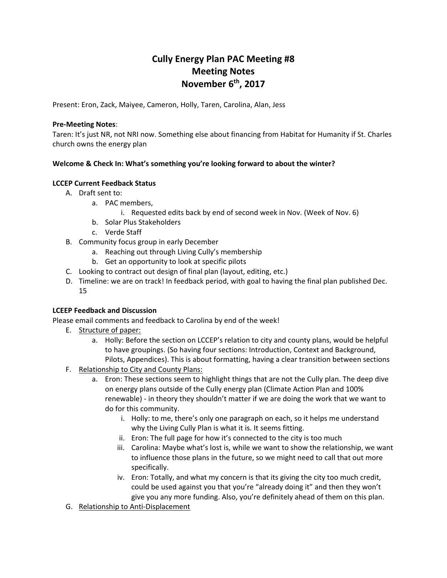### **Cully Energy Plan PAC Meeting #8 Meeting Notes November 6th, 2017**

Present: Eron, Zack, Maiyee, Cameron, Holly, Taren, Carolina, Alan, Jess

#### **Pre-Meeting Notes**:

Taren: It's just NR, not NRI now. Something else about financing from Habitat for Humanity if St. Charles church owns the energy plan

#### **Welcome & Check In: What's something you're looking forward to about the winter?**

#### **LCCEP Current Feedback Status**

- A. Draft sent to:
	- a. PAC members,
		- i. Requested edits back by end of second week in Nov. (Week of Nov. 6)
	- b. Solar Plus Stakeholders
	- c. Verde Staff
- B. Community focus group in early December
	- a. Reaching out through Living Cully's membership
	- b. Get an opportunity to look at specific pilots
- C. Looking to contract out design of final plan (layout, editing, etc.)
- D. Timeline: we are on track! In feedback period, with goal to having the final plan published Dec. 15

#### **LCEEP Feedback and Discussion**

Please email comments and feedback to Carolina by end of the week!

- E. Structure of paper:
	- a. Holly: Before the section on LCCEP's relation to city and county plans, would be helpful to have groupings. (So having four sections: Introduction, Context and Background, Pilots, Appendices). This is about formatting, having a clear transition between sections
- F. Relationship to City and County Plans:
	- a. Eron: These sections seem to highlight things that are not the Cully plan. The deep dive on energy plans outside of the Cully energy plan (Climate Action Plan and 100% renewable) - in theory they shouldn't matter if we are doing the work that we want to do for this community.
		- i. Holly: to me, there's only one paragraph on each, so it helps me understand why the Living Cully Plan is what it is. It seems fitting.
		- ii. Eron: The full page for how it's connected to the city is too much
		- iii. Carolina: Maybe what's lost is, while we want to show the relationship, we want to influence those plans in the future, so we might need to call that out more specifically.
		- iv. Eron: Totally, and what my concern is that its giving the city too much credit, could be used against you that you're "already doing it" and then they won't give you any more funding. Also, you're definitely ahead of them on this plan.
- G. Relationship to Anti-Displacement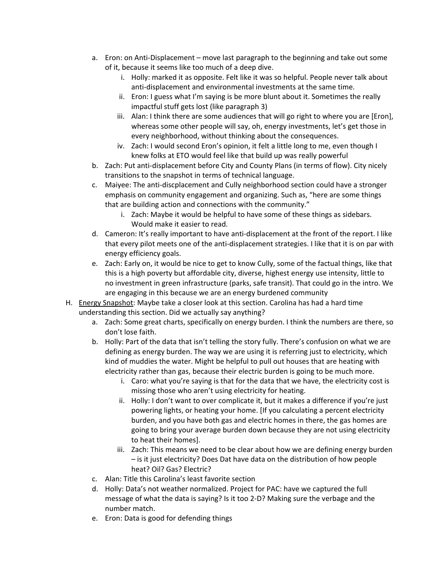- a. Eron: on Anti-Displacement move last paragraph to the beginning and take out some of it, because it seems like too much of a deep dive.
	- i. Holly: marked it as opposite. Felt like it was so helpful. People never talk about anti-displacement and environmental investments at the same time.
	- ii. Eron: I guess what I'm saying is be more blunt about it. Sometimes the really impactful stuff gets lost (like paragraph 3)
	- iii. Alan: I think there are some audiences that will go right to where you are [Eron], whereas some other people will say, oh, energy investments, let's get those in every neighborhood, without thinking about the consequences.
	- iv. Zach: I would second Eron's opinion, it felt a little long to me, even though I knew folks at ETO would feel like that build up was really powerful
- b. Zach: Put anti-displacement before City and County Plans (in terms of flow). City nicely transitions to the snapshot in terms of technical language.
- c. Maiyee: The anti-discplacement and Cully neighborhood section could have a stronger emphasis on community engagement and organizing. Such as, "here are some things that are building action and connections with the community."
	- i. Zach: Maybe it would be helpful to have some of these things as sidebars. Would make it easier to read.
- d. Cameron: It's really important to have anti-displacement at the front of the report. I like that every pilot meets one of the anti-displacement strategies. I like that it is on par with energy efficiency goals.
- e. Zach: Early on, it would be nice to get to know Cully, some of the factual things, like that this is a high poverty but affordable city, diverse, highest energy use intensity, little to no investment in green infrastructure (parks, safe transit). That could go in the intro. We are engaging in this because we are an energy burdened community
- H. Energy Snapshot: Maybe take a closer look at this section. Carolina has had a hard time understanding this section. Did we actually say anything?
	- a. Zach: Some great charts, specifically on energy burden. I think the numbers are there, so don't lose faith.
	- b. Holly: Part of the data that isn't telling the story fully. There's confusion on what we are defining as energy burden. The way we are using it is referring just to electricity, which kind of muddies the water. Might be helpful to pull out houses that are heating with electricity rather than gas, because their electric burden is going to be much more.
		- i. Caro: what you're saying is that for the data that we have, the electricity cost is missing those who aren't using electricity for heating.
		- ii. Holly: I don't want to over complicate it, but it makes a difference if you're just powering lights, or heating your home. [If you calculating a percent electricity burden, and you have both gas and electric homes in there, the gas homes are going to bring your average burden down because they are not using electricity to heat their homes].
		- iii. Zach: This means we need to be clear about how we are defining energy burden – is it just electricity? Does Dat have data on the distribution of how people heat? Oil? Gas? Electric?
	- c. Alan: Title this Carolina's least favorite section
	- d. Holly: Data's not weather normalized. Project for PAC: have we captured the full message of what the data is saying? Is it too 2-D? Making sure the verbage and the number match.
	- e. Eron: Data is good for defending things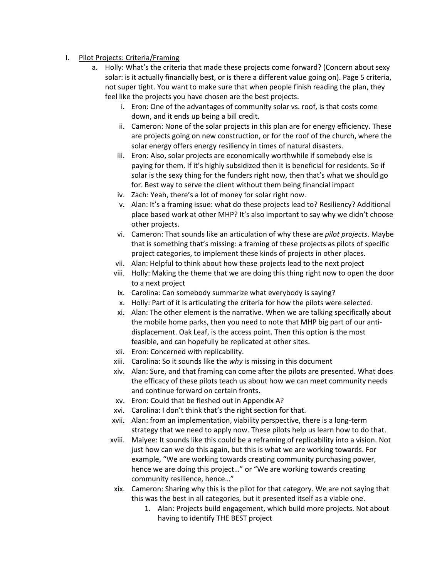#### I. Pilot Projects: Criteria/Framing

- a. Holly: What's the criteria that made these projects come forward? (Concern about sexy solar: is it actually financially best, or is there a different value going on). Page 5 criteria, not super tight. You want to make sure that when people finish reading the plan, they feel like the projects you have chosen are the best projects.
	- i. Eron: One of the advantages of community solar vs. roof, is that costs come down, and it ends up being a bill credit.
	- ii. Cameron: None of the solar projects in this plan are for energy efficiency. These are projects going on new construction, or for the roof of the church, where the solar energy offers energy resiliency in times of natural disasters.
	- iii. Eron: Also, solar projects are economically worthwhile if somebody else is paying for them. If it's highly subsidized then it is beneficial for residents. So if solar is the sexy thing for the funders right now, then that's what we should go for. Best way to serve the client without them being financial impact
	- iv. Zach: Yeah, there's a lot of money for solar right now.
	- v. Alan: It's a framing issue: what do these projects lead to? Resiliency? Additional place based work at other MHP? It's also important to say why we didn't choose other projects.
	- vi. Cameron: That sounds like an articulation of why these are *pilot projects*. Maybe that is something that's missing: a framing of these projects as pilots of specific project categories, to implement these kinds of projects in other places.
	- vii. Alan: Helpful to think about how these projects lead to the next project
	- viii. Holly: Making the theme that we are doing this thing right now to open the door to a next project
	- ix. Carolina: Can somebody summarize what everybody is saying?
	- x. Holly: Part of it is articulating the criteria for how the pilots were selected.
	- xi. Alan: The other element is the narrative. When we are talking specifically about the mobile home parks, then you need to note that MHP big part of our antidisplacement. Oak Leaf, is the access point. Then this option is the most feasible, and can hopefully be replicated at other sites.
	- xii. Eron: Concerned with replicability.
	- xiii. Carolina: So it sounds like the *why* is missing in this document
	- xiv. Alan: Sure, and that framing can come after the pilots are presented. What does the efficacy of these pilots teach us about how we can meet community needs and continue forward on certain fronts.
	- xv. Eron: Could that be fleshed out in Appendix A?
	- xvi. Carolina: I don't think that's the right section for that.
	- xvii. Alan: from an implementation, viability perspective, there is a long-term strategy that we need to apply now. These pilots help us learn how to do that.
	- xviii. Maiyee: It sounds like this could be a reframing of replicability into a vision. Not just how can we do this again, but this is what we are working towards. For example, "We are working towards creating community purchasing power, hence we are doing this project…" or "We are working towards creating community resilience, hence…"
	- xix. Cameron: Sharing why this is the pilot for that category. We are not saying that this was the best in all categories, but it presented itself as a viable one.
		- 1. Alan: Projects build engagement, which build more projects. Not about having to identify THE BEST project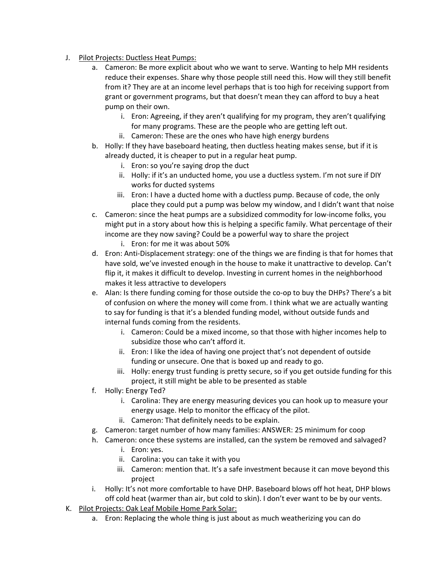- J. Pilot Projects: Ductless Heat Pumps:
	- a. Cameron: Be more explicit about who we want to serve. Wanting to help MH residents reduce their expenses. Share why those people still need this. How will they still benefit from it? They are at an income level perhaps that is too high for receiving support from grant or government programs, but that doesn't mean they can afford to buy a heat pump on their own.
		- i. Eron: Agreeing, if they aren't qualifying for my program, they aren't qualifying for many programs. These are the people who are getting left out.
		- ii. Cameron: These are the ones who have high energy burdens
	- b. Holly: If they have baseboard heating, then ductless heating makes sense, but if it is already ducted, it is cheaper to put in a regular heat pump.
		- i. Eron: so you're saying drop the duct
		- ii. Holly: if it's an unducted home, you use a ductless system. I'm not sure if DIY works for ducted systems
		- iii. Eron: I have a ducted home with a ductless pump. Because of code, the only place they could put a pump was below my window, and I didn't want that noise
	- c. Cameron: since the heat pumps are a subsidized commodity for low-income folks, you might put in a story about how this is helping a specific family. What percentage of their income are they now saving? Could be a powerful way to share the project
		- i. Eron: for me it was about 50%
	- d. Eron: Anti-Displacement strategy: one of the things we are finding is that for homes that have sold, we've invested enough in the house to make it unattractive to develop. Can't flip it, it makes it difficult to develop. Investing in current homes in the neighborhood makes it less attractive to developers
	- e. Alan: Is there funding coming for those outside the co-op to buy the DHPs? There's a bit of confusion on where the money will come from. I think what we are actually wanting to say for funding is that it's a blended funding model, without outside funds and internal funds coming from the residents.
		- i. Cameron: Could be a mixed income, so that those with higher incomes help to subsidize those who can't afford it.
		- ii. Eron: I like the idea of having one project that's not dependent of outside funding or unsecure. One that is boxed up and ready to go.
		- iii. Holly: energy trust funding is pretty secure, so if you get outside funding for this project, it still might be able to be presented as stable
	- f. Holly: Energy Ted?
		- i. Carolina: They are energy measuring devices you can hook up to measure your energy usage. Help to monitor the efficacy of the pilot.
		- ii. Cameron: That definitely needs to be explain.
	- g. Cameron: target number of how many families: ANSWER: 25 minimum for coop
	- h. Cameron: once these systems are installed, can the system be removed and salvaged?
		- i. Eron: yes.
		- ii. Carolina: you can take it with you
		- iii. Cameron: mention that. It's a safe investment because it can move beyond this project
	- i. Holly: It's not more comfortable to have DHP. Baseboard blows off hot heat, DHP blows off cold heat (warmer than air, but cold to skin). I don't ever want to be by our vents.
- K. Pilot Projects: Oak Leaf Mobile Home Park Solar:
	- a. Eron: Replacing the whole thing is just about as much weatherizing you can do